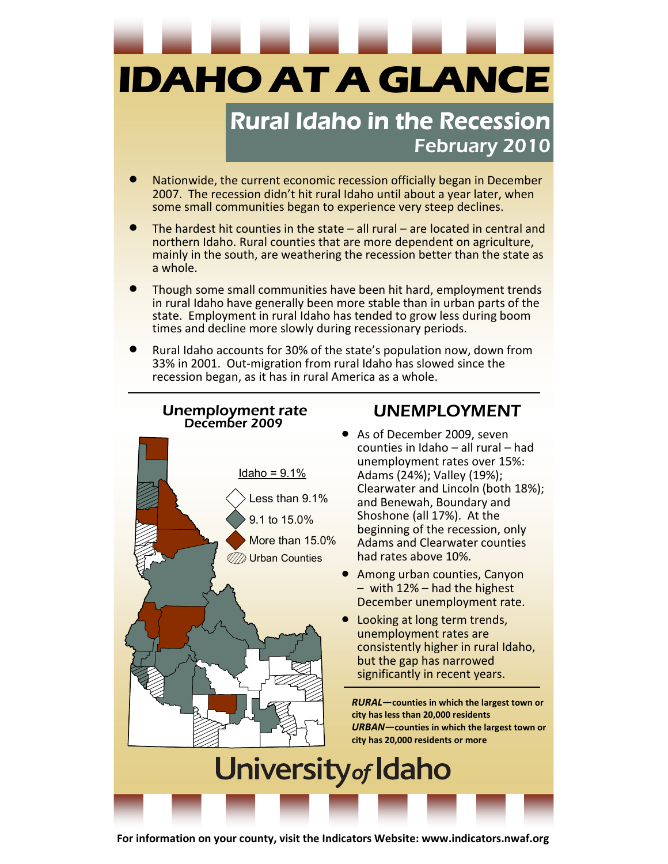**IDAHO AT A GLANCE** 

## **Rural Idaho in the Recession** February 2010

- Nationwide, the current economic recession officially began in December 2007. The recession didn't hit rural Idaho until about a year later, when some small communities began to experience very steep declines.
- The hardest hit counties in the state  $-$  all rural  $-$  are located in central and northern Idaho. Rural counties that are more dependent on agriculture, mainly in the south, are weathering the recession better than the state as a whole.
- Though some small communities have been hit hard, employment trends in rural Idaho have generally been more stable than in urban parts of the state. Employment in rural Idaho has tended to grow less during boom times and decline more slowly during recessionary periods.
- Rural Idaho accounts for 30% of the state's population now, down from 33% in 2001. Out-migration from rural Idaho has slowed since the recession began, as it has in rural America as a whole.



For information on your county, visit the Indicators Website: www.indicators.nwaf.org